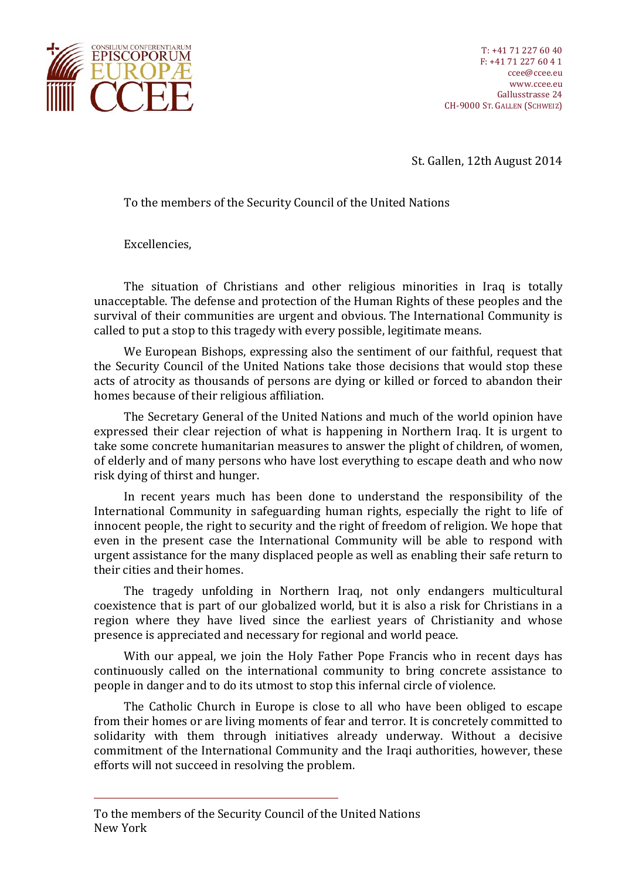

St. Gallen, 12th August 2014

To the members of the Security Council of the United Nations

Excellencies,

The situation of Christians and other religious minorities in Iraq is totally unacceptable. The defense and protection of the Human Rights of these peoples and the survival of their communities are urgent and obvious. The International Community is called to put a stop to this tragedy with every possible, legitimate means.

We European Bishops, expressing also the sentiment of our faithful, request that the Security Council of the United Nations take those decisions that would stop these acts of atrocity as thousands of persons are dying or killed or forced to abandon their homes because of their religious affiliation.

The Secretary General of the United Nations and much of the world opinion have expressed their clear rejection of what is happening in Northern Iraq. It is urgent to take some concrete humanitarian measures to answer the plight of children, of women, of elderly and of many persons who have lost everything to escape death and who now risk dying of thirst and hunger.

In recent years much has been done to understand the responsibility of the International Community in safeguarding human rights, especially the right to life of innocent people, the right to security and the right of freedom of religion. We hope that even in the present case the International Community will be able to respond with urgent assistance for the many displaced people as well as enabling their safe return to their cities and their homes.

The tragedy unfolding in Northern Iraq, not only endangers multicultural coexistence that is part of our globalized world, but it is also a risk for Christians in a region where they have lived since the earliest years of Christianity and whose presence is appreciated and necessary for regional and world peace.

With our appeal, we join the Holy Father Pope Francis who in recent days has continuously called on the international community to bring concrete assistance to people in danger and to do its utmost to stop this infernal circle of violence.

The Catholic Church in Europe is close to all who have been obliged to escape from their homes or are living moments of fear and terror. It is concretely committed to solidarity with them through initiatives already underway. Without a decisive commitment of the International Community and the Iraqi authorities, however, these efforts will not succeed in resolving the problem.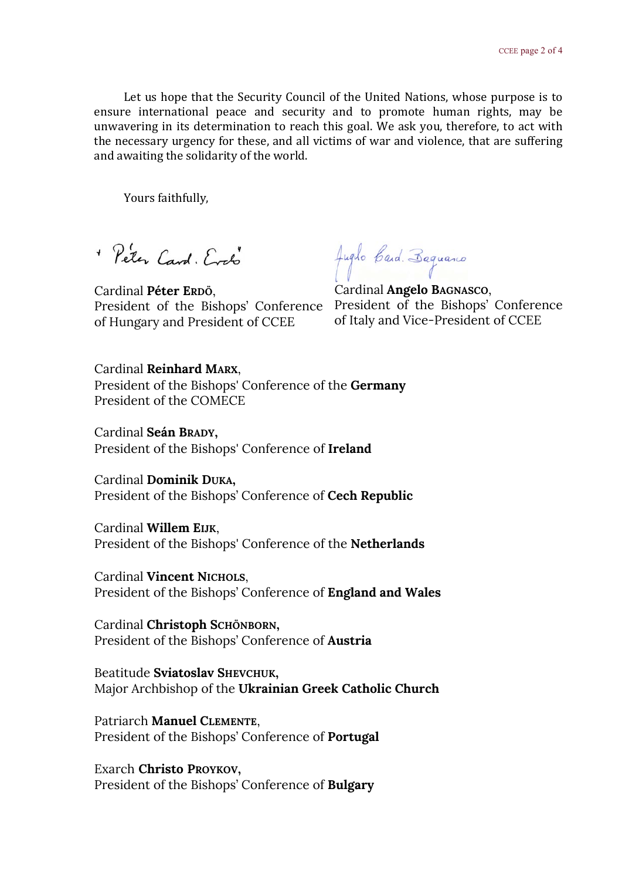Let us hope that the Security Council of the United Nations, whose purpose is to ensure international peace and security and to promote human rights, may be unwavering in its determination to reach this goal. We ask you, therefore, to act with the necessary urgency for these, and all victims of war and violence, that are suffering and awaiting the solidarity of the world.

Yours faithfully,

+ Peter Card, Erch

Cardinal **Péter ERDÖ**, of Hungary and President of CCEE

Jugilo Caid. Baguano

President of the Bishops' Conference President of the Bishops' Conference Cardinal **Angelo BAGNASCO**, of Italy and Vice-President of CCEE

Cardinal **Reinhard MARX**, President of the Bishops' Conference of the **Germany** President of the COMECE

Cardinal **Seán BRADY,** President of the Bishops' Conference of **Ireland**

Cardinal **Dominik DUKA,** President of the Bishops' Conference of **Cech Republic**

Cardinal **Willem EIJK**, President of the Bishops' Conference of the **Netherlands**

Cardinal **Vincent NICHOLS**, President of the Bishops' Conference of **England and Wales**

Cardinal **Christoph SCHÖNBORN,** President of the Bishops' Conference of **Austria**

Beatitude **Sviatoslav SHEVCHUK,** Major Archbishop of the **Ukrainian Greek Catholic Church**

Patriarch **Manuel CLEMENTE**, President of the Bishops' Conference of **Portugal**

Exarch **Christo PROYKOV,** President of the Bishops' Conference of **Bulgary**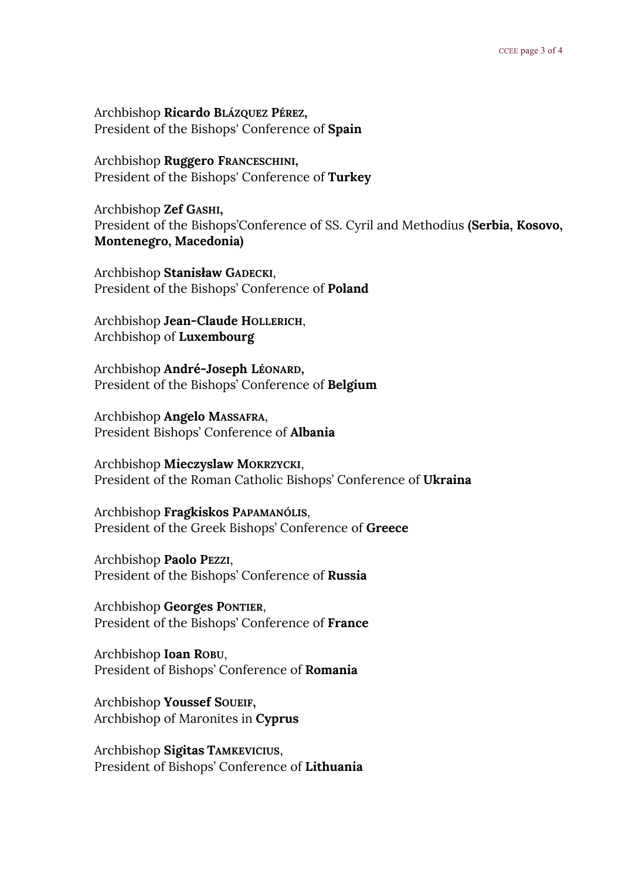Archbishop **Ricardo BLÁZQUEZ PÉREZ,** President of the Bishops' Conference of **Spain**

Archbishop **Ruggero FRANCESCHINI,** President of the Bishops' Conference of **Turkey**

Archbishop **Zef GASHI,** President of the Bishops'Conference of SS. Cyril and Methodius **(Serbia, Kosovo, Montenegro, Macedonia)**

Archbishop **Stanisław GADECKI**, President of the Bishops' Conference of **Poland**

Archbishop **Jean-Claude HOLLERICH**, Archbishop of **Luxembourg**

Archbishop **André-Joseph LÉONARD,** President of the Bishops' Conference of **Belgium**

Archbishop **Angelo MASSAFRA**, President Bishops' Conference of **Albania**

Archbishop **Mieczyslaw MOKRZYCKI**, President of the Roman Catholic Bishops' Conference of **Ukraina**

Archbishop **Fragkiskos PAPAMANÓLIS**, President of the Greek Bishops' Conference of **Greece**

Archbishop **Paolo PEZZI**, President of the Bishops' Conference of **Russia**

Archbishop **Georges PONTIER**, President of the Bishops' Conference of **France**

Archbishop **Ioan ROBU**, President of Bishops' Conference of **Romania**

Archbishop **Youssef SOUEIF,** Archbishop of Maronites in **Cyprus**

Archbishop **Sigitas TAMKEVICIUS**, President of Bishops' Conference of **Lithuania**